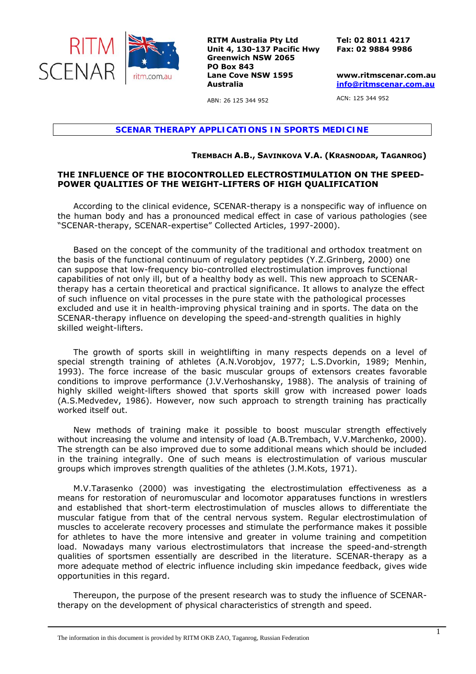

**RITM Australia Pty Ltd Unit 4, 130-137 Pacific Hwy Greenwich NSW 2065 PO Box 843 Lane Cove NSW 1595 Australia** 

**Tel: 02 8011 4217 Fax: 02 9884 9986** 

**www.ritmscenar.com.au info@ritmscenar.com.au**

ACN: 125 344 952

*SCENAR THERAPY APPLICATIONS IN SPORTS MEDICINE* 

ABN: 26 125 344 952

## **TREMBACH A.B., SAVINKOVA V.A. (KRASNODAR, TAGANROG)**

## **THE INFLUENCE OF THE BIOCONTROLLED ELECTROSTIMULATION ON THE SPEED-POWER QUALITIES OF THE WEIGHT-LIFTERS OF HIGH QUALIFICATION**

According to the clinical evidence, SCENAR-therapy is a nonspecific way of influence on the human body and has a pronounced medical effect in case of various pathologies (see "SCENAR-therapy, SCENAR-expertise" Collected Articles, 1997-2000).

Based on the concept of the community of the traditional and orthodox treatment on the basis of the functional continuum of regulatory peptides (Y.Z.Grinberg, 2000) one can suppose that low-frequency bio-controlled electrostimulation improves functional capabilities of not only ill, but of a healthy body as well. This new approach to SCENARtherapy has a certain theoretical and practical significance. It allows to analyze the effect of such influence on vital processes in the pure state with the pathological processes excluded and use it in health-improving physical training and in sports. The data on the SCENAR-therapy influence on developing the speed-and-strength qualities in highly skilled weight-lifters.

The growth of sports skill in weightlifting in many respects depends on a level of special strength training of athletes (A.N.Vorobjov, 1977; L.S.Dvorkin, 1989; Menhin, 1993). The force increase of the basic muscular groups of extensors creates favorable conditions to improve performance (J.V.Verhoshansky, 1988). The analysis of training of highly skilled weight-lifters showed that sports skill grow with increased power loads (A.S.Medvedev, 1986). However, now such approach to strength training has practically worked itself out.

New methods of training make it possible to boost muscular strength effectively without increasing the volume and intensity of load (A.B.Trembach, V.V.Marchenko, 2000). The strength can be also improved due to some additional means which should be included in the training integrally. One of such means is electrostimulation of various muscular groups which improves strength qualities of the athletes (J.M.Kots, 1971).

M.V.Tarasenko (2000) was investigating the electrostimulation effectiveness as a means for restoration of neuromuscular and locomotor apparatuses functions in wrestlers and established that short-term electrostimulation of muscles allows to differentiate the muscular fatigue from that of the central nervous system. Regular electrostimulation of muscles to accelerate recovery processes and stimulate the performance makes it possible for athletes to have the more intensive and greater in volume training and competition load. Nowadays many various electrostimulators that increase the speed-and-strength qualities of sportsmen essentially are described in the literature. SCENAR-therapy as a more adequate method of electric influence including skin impedance feedback, gives wide opportunities in this regard.

Thereupon, the purpose of the present research was to study the influence of SCENARtherapy on the development of physical characteristics of strength and speed.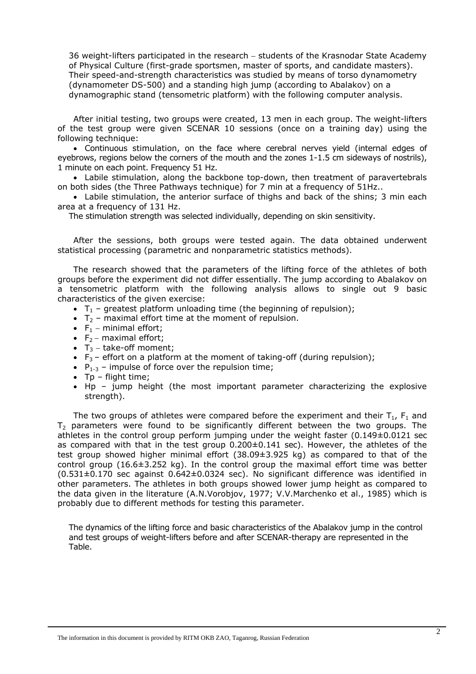36 weight-lifters participated in the research − students of the Krasnodar State Academy of Physical Culture (first-grade sportsmen, master of sports, and candidate masters). Their speed-and-strength characteristics was studied by means of torso dynamometry (dynamometer DS-500) and a standing high jump (according to Abalakov) on a dynamographic stand (tensometric platform) with the following computer analysis.

After initial testing, two groups were created, 13 men in each group. The weight-lifters of the test group were given SCENAR 10 sessions (once on a training day) using the following technique:

• Continuous stimulation, on the face where cerebral nerves yield (internal edges of eyebrows, regions below the corners of the mouth and the zones 1-1.5 cm sideways of nostrils), 1 minute on each point. Frequency 51 Hz.

• Labile stimulation, along the backbone top-down, then treatment of paravertebrals on both sides (the Three Pathways technique) for 7 min at a frequency of 51Hz..

• Labile stimulation, the anterior surface of thighs and back of the shins; 3 min each area at a frequency of 131 Hz.

The stimulation strength was selected individually, depending on skin sensitivity.

After the sessions, both groups were tested again. The data obtained underwent statistical processing (parametric and nonparametric statistics methods).

The research showed that the parameters of the lifting force of the athletes of both groups before the experiment did not differ essentially. The jump according to Abalakov on a tensometric platform with the following analysis allows to single out 9 basic characteristics of the given exercise:

- $T_1$  greatest platform unloading time (the beginning of repulsion);
- $T_2$  maximal effort time at the moment of repulsion.
- $F_1$  minimal effort;
- $F_2$  maximal effort;
- $T_3$  take-off moment;
- $F_3$  effort on a platform at the moment of taking-off (during repulsion);
- $P_{1-3}$  impulse of force over the repulsion time;
- $Tp flight$  time;
- Нp jump height (the most important parameter characterizing the explosive strength).

The two groups of athletes were compared before the experiment and their  $T_1$ ,  $F_1$  and  $T_2$  parameters were found to be significantly different between the two groups. The athletes in the control group perform jumping under the weight faster (0.149±0.0121 sec as compared with that in the test group 0.200±0.141 sec). However, the athletes of the test group showed higher minimal effort (38.09±3.925 kg) as compared to that of the control group  $(16.6\pm3.252 \text{ kg})$ . In the control group the maximal effort time was better (0.531±0.170 sec against 0.642±0.0324 sec). No significant difference was identified in other parameters. The athletes in both groups showed lower jump height as compared to the data given in the literature (A.N.Vorobjov, 1977; V.V.Marchenko et al., 1985) which is probably due to different methods for testing this parameter.

The dynamics of the lifting force and basic characteristics of the Abalakov jump in the control and test groups of weight-lifters before and after SCENAR-therapy are represented in the Table.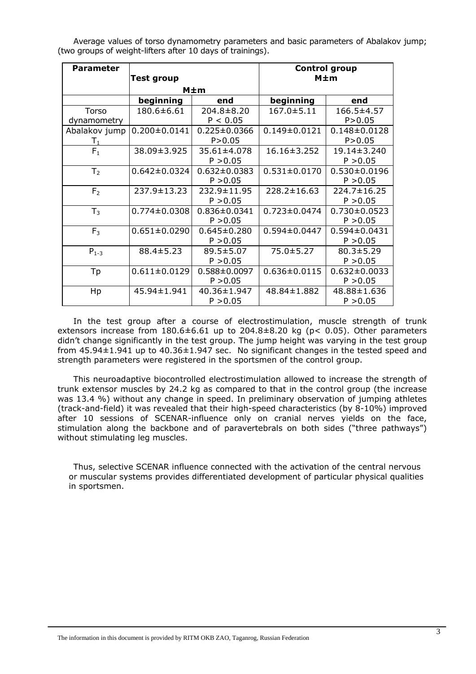Average values of torso dynamometry parameters and basic parameters of Abalakov jump; (two groups of weight-lifters after 10 days of trainings).

| <b>Parameter</b> | Test group         |                    | <b>Control group</b><br>$M \pm m$ |                    |
|------------------|--------------------|--------------------|-----------------------------------|--------------------|
|                  | $M \pm m$          |                    |                                   |                    |
|                  | beginning          | end                | beginning                         | end                |
| Torso            | 180.6±6.61         | $204.8 \pm 8.20$   | $167.0 \pm 5.11$                  | $166.5 \pm 4.57$   |
| dynamometry      |                    | P < 0.05           |                                   | P > 0.05           |
| Abalakov jump    | $0.200 \pm 0.0141$ | $0.225 \pm 0.0366$ | $0.149 \pm 0.0121$                | $0.148 \pm 0.0128$ |
| $\mathsf{T}_1$   |                    | P > 0.05           |                                   | P > 0.05           |
| $F_1$            | 38.09±3.925        | 35.61±4.078        | $16.16 \pm 3.252$                 | 19.14±3.240        |
|                  |                    | P > 0.05           |                                   | P > 0.05           |
| T <sub>2</sub>   | $0.642 \pm 0.0324$ | $0.632 \pm 0.0383$ | $0.531 \pm 0.0170$                | $0.530 \pm 0.0196$ |
|                  |                    | P > 0.05           |                                   | P > 0.05           |
| F <sub>2</sub>   | 237.9±13.23        | 232.9±11.95        | $228.2 \pm 16.63$                 | 224.7±16.25        |
|                  |                    | P > 0.05           |                                   | P > 0.05           |
| $T_3$            | $0.774 \pm 0.0308$ | $0.836 \pm 0.0341$ | $0.723 \pm 0.0474$                | $0.730 \pm 0.0523$ |
|                  |                    | P > 0.05           |                                   | P > 0.05           |
| F <sub>3</sub>   | $0.651 \pm 0.0290$ | $0.645 \pm 0.280$  | $0.594 \pm 0.0447$                | $0.594 \pm 0.0431$ |
|                  |                    | P > 0.05           |                                   | P > 0.05           |
| $P_{1-3}$        | $88.4 \pm 5.23$    | 89.5±5.07          | $75.0 \pm 5.27$                   | $80.3 \pm 5.29$    |
|                  |                    | P > 0.05           |                                   | P > 0.05           |
| Tp               | $0.611 \pm 0.0129$ | $0.588 \pm 0.0097$ | $0.636 \pm 0.0115$                | $0.632 \pm 0.0033$ |
|                  |                    | P > 0.05           |                                   | P > 0.05           |
| Hp               | 45.94±1.941        | 40.36±1.947        | 48.84±1.882                       | 48.88±1.636        |
|                  |                    | P > 0.05           |                                   | P > 0.05           |

In the test group after a course of electrostimulation, muscle strength of trunk extensors increase from  $180.6 \pm 6.61$  up to  $204.8 \pm 8.20$  kg (p< 0.05). Other parameters didn't change significantly in the test group. The jump height was varying in the test group from  $45.94\pm1.941$  up to  $40.36\pm1.947$  sec. No significant changes in the tested speed and strength parameters were registered in the sportsmen of the control group.

This neuroadaptive biocontrolled electrostimulation allowed to increase the strength of trunk extensor muscles by 24.2 kg as compared to that in the control group (the increase was 13.4 %) without any change in speed. In preliminary observation of jumping athletes (track-and-field) it was revealed that their high-speed characteristics (by 8-10%) improved after 10 sessions of SCENAR-influence only on cranial nerves yields on the face, stimulation along the backbone and of paravertebrals on both sides ("three pathways") without stimulating leg muscles.

Thus, selective SCENAR influence connected with the activation of the central nervous or muscular systems provides differentiated development of particular physical qualities in sportsmen.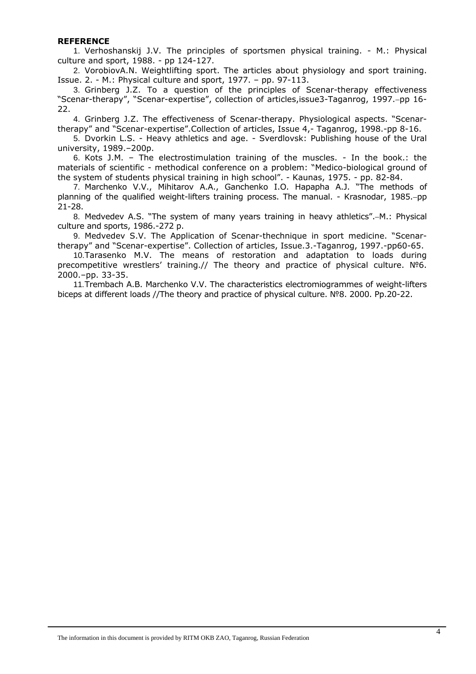## **REFERENCE**

1. Verhoshanskij J.V. The principles of sportsmen physical training. - M.: Physical culture and sport, 1988. - pp 124-127.

2. VorobiovA.N. Weightlifting sport. The articles about physiology and sport training. Issue. 2. - M.: Physical culture and sport, 1977. – pp. 97-113.

3. Grinberg J.Z. To a question of the principles of Scenar-therapy effectiveness "Scenar-therapy", "Scenar-expertise", collection of articles,issue3-Taganrog, 1997.−pp 16- 22.

4. Grinberg J.Z. The effectiveness of Scenar-therapy. Physiological aspects. "Scenartherapy" and "Scenar-expertise".Collection of articles, Issue 4,- Taganrog, 1998.-pp 8-16.

5. Dvorkin L.S. - Heavy athletics and age. - Sverdlovsk: Publishing house of the Ural university, 1989.–200p.

6. Kots J.M. – The electrostimulation training of the muscles. - In the book.: the materials of scientific - methodical conference on a problem: "Medico-biological ground of the system of students physical training in high school". - Kaunas, 1975. - pp. 82-84.

7. Marchenko V.V., Mihitarov A.A., Ganchenko I.O. Hapapha A.J. "The methods of planning of the qualified weight-lifters training process. The manual. - Krasnodar, 1985.–pp 21-28.

8. Medvedev A.S. "The system of many years training in heavy athletics".−M.: Physical culture and sports, 1986.-272 p.

9. Medvedev S.V. The Application of Scenar-thechnique in sport medicine. "Scenartherapy" and "Scenar-expertise". Collection of articles, Issue.3.-Taganrog, 1997.-pp60-65.

10. Tarasenko M.V. The means of restoration and adaptation to loads during precompetitive wrestlers' training.// The theory and practice of physical culture. Nº6. 2000.–pp. 33-35.

11. Trembach A.B. Marchenko V.V. The characteristics electromiogrammes of weight-lifters biceps at different loads //The theory and practice of physical culture. №8. 2000. Pp.20-22.